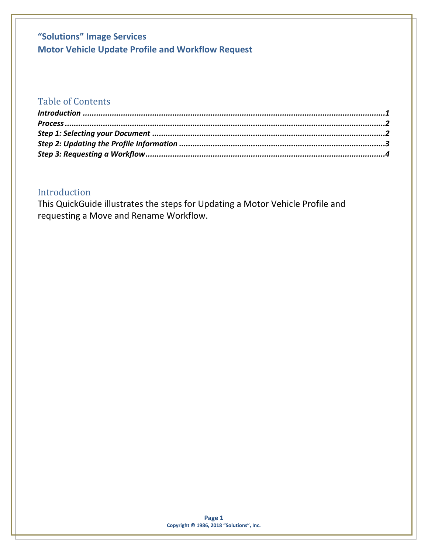### Table of Contents

### <span id="page-0-0"></span>Introduction

This QuickGuide illustrates the steps for Updating a Motor Vehicle Profile and requesting a Move and Rename Workflow.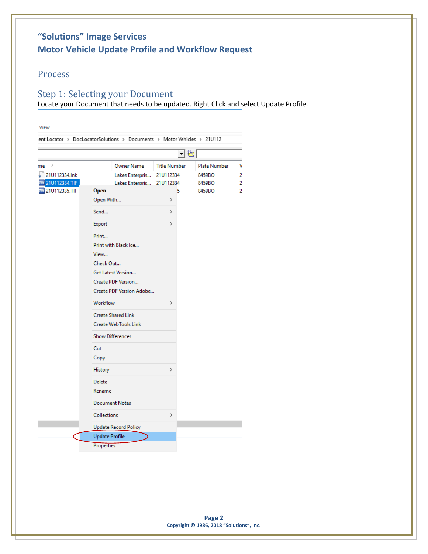#### <span id="page-1-0"></span>Process

#### <span id="page-1-1"></span>Step 1: Selecting your Document

Locate your Document that needs to be updated. Right Click and select Update Profile.

|                                             |                                                                                                                                                                                                                        | ㅋ₩                               |                        |        |
|---------------------------------------------|------------------------------------------------------------------------------------------------------------------------------------------------------------------------------------------------------------------------|----------------------------------|------------------------|--------|
| f<br>me<br>21U112334.Ink                    | <b>Owner Name</b><br>Lakes Enterpris                                                                                                                                                                                   | <b>Title Number</b><br>21U112334 | Plate Number<br>8459BO | ۷<br>2 |
| 21U112334.TIF<br>Tiff<br>Till 21U112335.TIF | Lakes Enterpris 21U112334<br>Open<br>Open With                                                                                                                                                                         | 5<br>>                           | 8459BO<br>8459BO       | 2<br>2 |
|                                             | Send                                                                                                                                                                                                                   | $\,$                             |                        |        |
|                                             | Export                                                                                                                                                                                                                 | $\,$                             |                        |        |
|                                             | Print<br>Print with Black Ice<br>View<br>Check Out<br>Get Latest Version<br>Create PDF Version<br>Create PDF Version Adobe<br>Workflow<br><b>Create Shared Link</b><br>Create WebTools Link<br><b>Show Differences</b> | $\rightarrow$                    |                        |        |
|                                             | Cut<br>Copy                                                                                                                                                                                                            |                                  |                        |        |
|                                             | History<br><b>Delete</b><br>Rename                                                                                                                                                                                     | $\rightarrow$                    |                        |        |
|                                             | <b>Document Notes</b>                                                                                                                                                                                                  |                                  |                        |        |
|                                             | <b>Collections</b>                                                                                                                                                                                                     | $\rightarrow$                    |                        |        |
|                                             | <b>Update Record Policy</b><br><b>Update Profile</b>                                                                                                                                                                   |                                  |                        |        |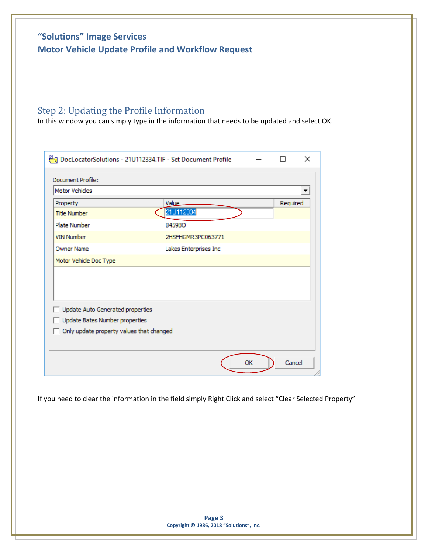# <span id="page-2-0"></span>Step 2: Updating the Profile Information

In this window you can simply type in the information that needs to be updated and select OK.

| <b>Motor Vehicles</b>            |                       |          |
|----------------------------------|-----------------------|----------|
| Property                         | Value                 | Required |
| <b>Title Number</b>              | 21U112334             |          |
| <b>Plate Number</b>              | 8459BO                |          |
| <b>VIN Number</b>                | 2HSFHGMR3PC063771     |          |
| <b>Owner Name</b>                | Lakes Enterprises Inc |          |
| Motor Vehicle Doc Type           |                       |          |
|                                  |                       |          |
|                                  |                       |          |
| Update Auto Generated properties |                       |          |
| Update Bates Number properties   |                       |          |
|                                  |                       |          |

If you need to clear the information in the field simply Right Click and select "Clear Selected Property"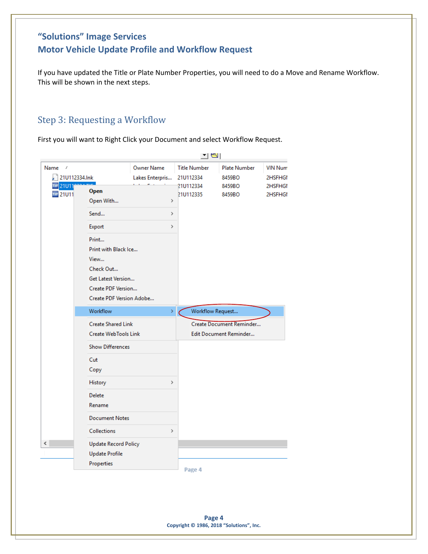If you have updated the Title or Plate Number Properties, you will need to do a Move and Rename Workflow. This will be shown in the next steps.

#### <span id="page-3-0"></span>Step 3: Requesting a Workflow

First you will want to Right Click your Document and select Workflow Request.

|                                        |                                                                                                                            |                                      | 그리                               |                                                    |                           |  |
|----------------------------------------|----------------------------------------------------------------------------------------------------------------------------|--------------------------------------|----------------------------------|----------------------------------------------------|---------------------------|--|
| Name<br>$\mathcal{I}$<br>21U112334.Ink |                                                                                                                            | <b>Owner Name</b><br>Lakes Enterpris | <b>Title Number</b><br>21U112334 | Plate Number<br>8459BO                             | <b>VIN Num</b><br>2HSFHGI |  |
| Tiff<br>21U11<br>Till 21U11            | <b>Open</b><br>Open With                                                                                                   | $\rightarrow$                        | 21U112334<br>21U112335           | 8459BO<br>8459BO                                   | 2HSFHGI<br>2HSFHGI        |  |
|                                        | Send                                                                                                                       | $\mathcal{P}$                        |                                  |                                                    |                           |  |
|                                        | Export                                                                                                                     | Y.                                   |                                  |                                                    |                           |  |
|                                        | Print<br>Print with Black Ice<br>View<br>Check Out<br>Get Latest Version<br>Create PDF Version<br>Create PDF Version Adobe |                                      |                                  |                                                    |                           |  |
|                                        | Workflow                                                                                                                   | $\,$                                 | Workflow Request                 |                                                    |                           |  |
|                                        | <b>Create Shared Link</b><br>Create WebTools Link                                                                          |                                      |                                  | Create Document Reminder<br>Edit Document Reminder |                           |  |
|                                        | <b>Show Differences</b>                                                                                                    |                                      |                                  |                                                    |                           |  |
|                                        | Cut<br>Copy                                                                                                                |                                      |                                  |                                                    |                           |  |
|                                        | History                                                                                                                    | Y                                    |                                  |                                                    |                           |  |
|                                        | <b>Delete</b><br>Rename                                                                                                    |                                      |                                  |                                                    |                           |  |
|                                        | <b>Document Notes</b>                                                                                                      |                                      |                                  |                                                    |                           |  |
|                                        | <b>Collections</b>                                                                                                         | Y.                                   |                                  |                                                    |                           |  |
| ∢                                      | <b>Update Record Policy</b><br><b>Update Profile</b><br>Properties                                                         |                                      | Page 4                           |                                                    |                           |  |